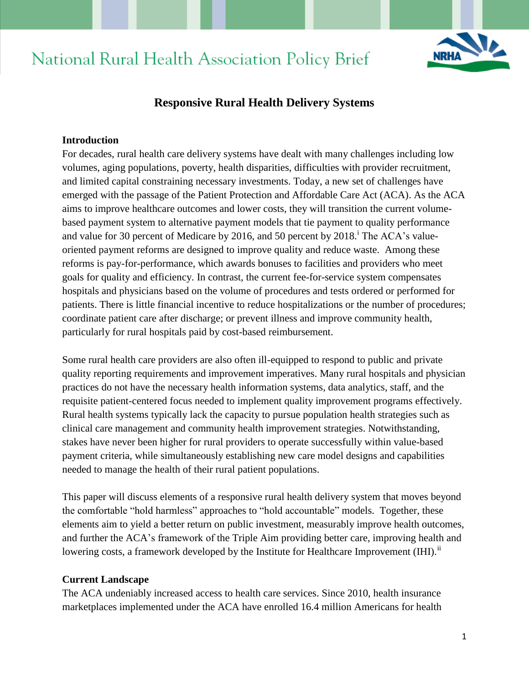# National Rural Health Association Policy Brief



# **Responsive Rural Health Delivery Systems**

#### **Introduction**

For decades, rural health care delivery systems have dealt with many challenges including low volumes, aging populations, poverty, health disparities, difficulties with provider recruitment, and limited capital constraining necessary investments. Today, a new set of challenges have emerged with the passage of the Patient Protection and Affordable Care Act (ACA). As the ACA aims to improve healthcare outcomes and lower costs, they will transition the current volumebased payment system to alternative payment models that tie payment to quality performance and value for 30 percent of Medicare by 2016, and 50 percent by  $2018$ . The ACA's valueoriented payment reforms are designed to improve quality and reduce waste. Among these reforms is pay-for-performance, which awards bonuses to facilities and providers who meet goals for quality and efficiency. In contrast, the current fee-for-service system compensates hospitals and physicians based on the volume of procedures and tests ordered or performed for patients. There is little financial incentive to reduce hospitalizations or the number of procedures; coordinate patient care after discharge; or prevent illness and improve community health, particularly for rural hospitals paid by cost-based reimbursement.

Some rural health care providers are also often ill-equipped to respond to public and private quality reporting requirements and improvement imperatives. Many rural hospitals and physician practices do not have the necessary health information systems, data analytics, staff, and the requisite patient-centered focus needed to implement quality improvement programs effectively. Rural health systems typically lack the capacity to pursue population health strategies such as clinical care management and community health improvement strategies. Notwithstanding, stakes have never been higher for rural providers to operate successfully within value-based payment criteria, while simultaneously establishing new care model designs and capabilities needed to manage the health of their rural patient populations.

This paper will discuss elements of a responsive rural health delivery system that moves beyond the comfortable "hold harmless" approaches to "hold accountable" models. Together, these elements aim to yield a better return on public investment, measurably improve health outcomes, and further the ACA's framework of the Triple Aim providing better care, improving health and lowering costs, a framework developed by the Institute for Healthcare Improvement (IHI).<sup>ii</sup>

#### **Current Landscape**

The ACA undeniably increased access to health care services. Since 2010, health insurance marketplaces implemented under the ACA have enrolled 16.4 million Americans for health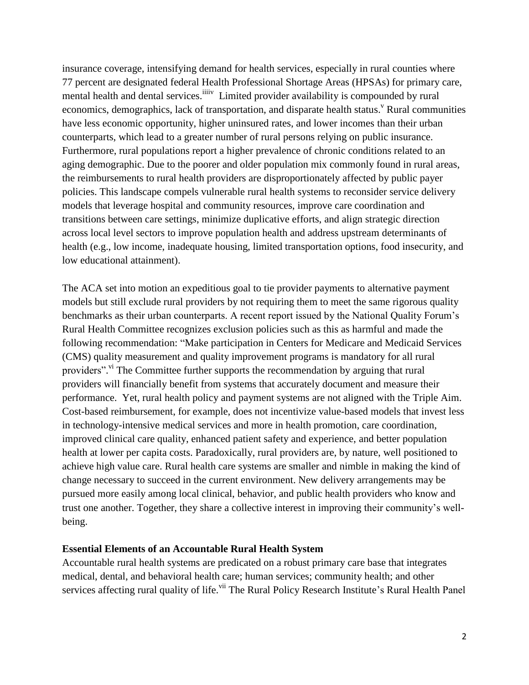insurance coverage, intensifying demand for health services, especially in rural counties where 77 percent are designated federal Health Professional Shortage Areas (HPSAs) for primary care, mental health and dental services. <sup>iiiiv</sup> Limited provider availability is compounded by rural economics, demographics, lack of transportation, and disparate health status.<sup>V</sup> Rural communities have less economic opportunity, higher uninsured rates, and lower incomes than their urban counterparts, which lead to a greater number of rural persons relying on public insurance. Furthermore, rural populations report a higher prevalence of chronic conditions related to an aging demographic. Due to the poorer and older population mix commonly found in rural areas, the reimbursements to rural health providers are disproportionately affected by public payer policies. This landscape compels vulnerable rural health systems to reconsider service delivery models that leverage hospital and community resources, improve care coordination and transitions between care settings, minimize duplicative efforts, and align strategic direction across local level sectors to improve population health and address upstream determinants of health (e.g., low income, inadequate housing, limited transportation options, food insecurity, and low educational attainment).

The ACA set into motion an expeditious goal to tie provider payments to alternative payment models but still exclude rural providers by not requiring them to meet the same rigorous quality benchmarks as their urban counterparts. A recent report issued by the National Quality Forum's Rural Health Committee recognizes exclusion policies such as this as harmful and made the following recommendation: "Make participation in Centers for Medicare and Medicaid Services (CMS) quality measurement and quality improvement programs is mandatory for all rural providers".<sup>vi</sup> The Committee further supports the recommendation by arguing that rural providers will financially benefit from systems that accurately document and measure their performance. Yet, rural health policy and payment systems are not aligned with the Triple Aim. Cost-based reimbursement, for example, does not incentivize value-based models that invest less in technology-intensive medical services and more in health promotion, care coordination, improved clinical care quality, enhanced patient safety and experience, and better population health at lower per capita costs. Paradoxically, rural providers are, by nature, well positioned to achieve high value care. Rural health care systems are smaller and nimble in making the kind of change necessary to succeed in the current environment. New delivery arrangements may be pursued more easily among local clinical, behavior, and public health providers who know and trust one another. Together, they share a collective interest in improving their community's wellbeing.

### **Essential Elements of an Accountable Rural Health System**

Accountable rural health systems are predicated on a robust primary care base that integrates medical, dental, and behavioral health care; human services; community health; and other services affecting rural quality of life.<sup>vii</sup> The Rural Policy Research Institute's Rural Health Panel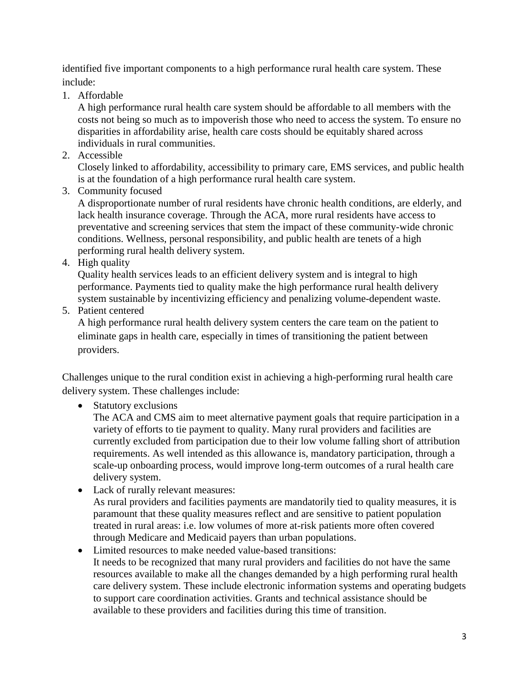identified five important components to a high performance rural health care system. These include:

1. Affordable

A high performance rural health care system should be affordable to all members with the costs not being so much as to impoverish those who need to access the system. To ensure no disparities in affordability arise, health care costs should be equitably shared across individuals in rural communities.

2. Accessible

Closely linked to affordability, accessibility to primary care, EMS services, and public health is at the foundation of a high performance rural health care system.

3. Community focused

A disproportionate number of rural residents have chronic health conditions, are elderly, and lack health insurance coverage. Through the ACA, more rural residents have access to preventative and screening services that stem the impact of these community-wide chronic conditions. Wellness, personal responsibility, and public health are tenets of a high performing rural health delivery system.

4. High quality

Quality health services leads to an efficient delivery system and is integral to high performance. Payments tied to quality make the high performance rural health delivery system sustainable by incentivizing efficiency and penalizing volume-dependent waste.

5. Patient centered

A high performance rural health delivery system centers the care team on the patient to eliminate gaps in health care, especially in times of transitioning the patient between providers.

Challenges unique to the rural condition exist in achieving a high-performing rural health care delivery system. These challenges include:

• Statutory exclusions

The ACA and CMS aim to meet alternative payment goals that require participation in a variety of efforts to tie payment to quality. Many rural providers and facilities are currently excluded from participation due to their low volume falling short of attribution requirements. As well intended as this allowance is, mandatory participation, through a scale-up onboarding process, would improve long-term outcomes of a rural health care delivery system.

Lack of rurally relevant measures:

As rural providers and facilities payments are mandatorily tied to quality measures, it is paramount that these quality measures reflect and are sensitive to patient population treated in rural areas: i.e. low volumes of more at-risk patients more often covered through Medicare and Medicaid payers than urban populations.

 Limited resources to make needed value-based transitions: It needs to be recognized that many rural providers and facilities do not have the same resources available to make all the changes demanded by a high performing rural health care delivery system. These include electronic information systems and operating budgets to support care coordination activities. Grants and technical assistance should be available to these providers and facilities during this time of transition.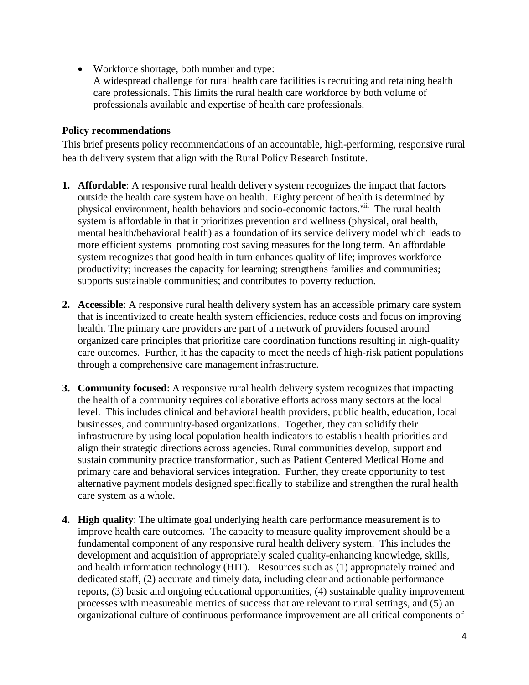- Workforce shortage, both number and type:
	- A widespread challenge for rural health care facilities is recruiting and retaining health care professionals. This limits the rural health care workforce by both volume of professionals available and expertise of health care professionals.

## **Policy recommendations**

This brief presents policy recommendations of an accountable, high-performing, responsive rural health delivery system that align with the Rural Policy Research Institute.

- **1. Affordable**: A responsive rural health delivery system recognizes the impact that factors outside the health care system have on health. Eighty percent of health is determined by physical environment, health behaviors and socio-economic factors.<sup>viii</sup> The rural health system is affordable in that it prioritizes prevention and wellness (physical, oral health, mental health/behavioral health) as a foundation of its service delivery model which leads to more efficient systems promoting cost saving measures for the long term. An affordable system recognizes that good health in turn enhances quality of life; improves workforce productivity; increases the capacity for learning; strengthens families and communities; supports sustainable communities; and contributes to poverty reduction.
- **2. Accessible**: A responsive rural health delivery system has an accessible primary care system that is incentivized to create health system efficiencies, reduce costs and focus on improving health. The primary care providers are part of a network of providers focused around organized care principles that prioritize care coordination functions resulting in high-quality care outcomes. Further, it has the capacity to meet the needs of high-risk patient populations through a comprehensive care management infrastructure.
- **3. Community focused**: A responsive rural health delivery system recognizes that impacting the health of a community requires collaborative efforts across many sectors at the local level. This includes clinical and behavioral health providers, public health, education, local businesses, and community-based organizations. Together, they can solidify their infrastructure by using local population health indicators to establish health priorities and align their strategic directions across agencies. Rural communities develop, support and sustain community practice transformation, such as Patient Centered Medical Home and primary care and behavioral services integration. Further, they create opportunity to test alternative payment models designed specifically to stabilize and strengthen the rural health care system as a whole.
- **4. High quality**: The ultimate goal underlying health care performance measurement is to improve health care outcomes. The capacity to measure quality improvement should be a fundamental component of any responsive rural health delivery system. This includes the development and acquisition of appropriately scaled quality-enhancing knowledge, skills, and health information technology (HIT). Resources such as (1) appropriately trained and dedicated staff, (2) accurate and timely data, including clear and actionable performance reports, (3) basic and ongoing educational opportunities, (4) sustainable quality improvement processes with measureable metrics of success that are relevant to rural settings, and (5) an organizational culture of continuous performance improvement are all critical components of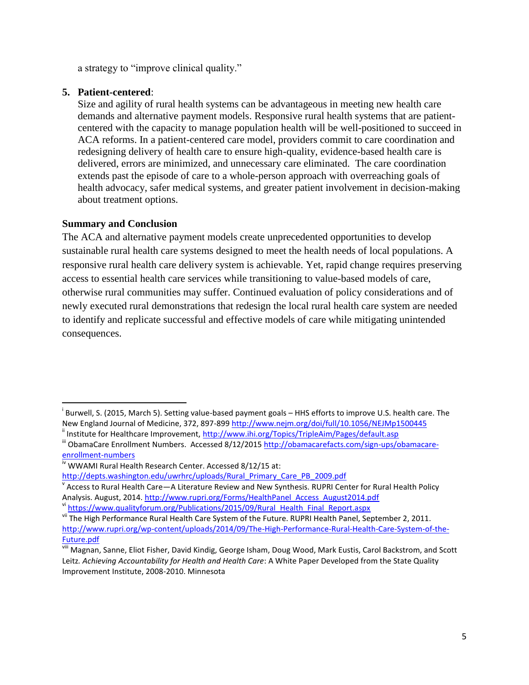a strategy to "improve clinical quality."

#### **5. Patient-centered**:

Size and agility of rural health systems can be advantageous in meeting new health care demands and alternative payment models. Responsive rural health systems that are patientcentered with the capacity to manage population health will be well-positioned to succeed in ACA reforms. In a patient-centered care model, providers commit to care coordination and redesigning delivery of health care to ensure high-quality, evidence-based health care is delivered, errors are minimized, and unnecessary care eliminated. The care coordination extends past the episode of care to a whole-person approach with overreaching goals of health advocacy, safer medical systems, and greater patient involvement in decision-making about treatment options.

### **Summary and Conclusion**

 $\overline{\phantom{a}}$ 

The ACA and alternative payment models create unprecedented opportunities to develop sustainable rural health care systems designed to meet the health needs of local populations. A responsive rural health care delivery system is achievable. Yet, rapid change requires preserving access to essential health care services while transitioning to value-based models of care, otherwise rural communities may suffer. Continued evaluation of policy considerations and of newly executed rural demonstrations that redesign the local rural health care system are needed to identify and replicate successful and effective models of care while mitigating unintended consequences.

[http://depts.washington.edu/uwrhrc/uploads/Rural\\_Primary\\_Care\\_PB\\_2009.pdf](http://depts.washington.edu/uwrhrc/uploads/Rural_Primary_Care_PB_2009.pdf)

i Burwell, S. (2015, March 5). Setting value-based payment goals – HHS efforts to improve U.S. health care. The New England Journal of Medicine, 372, 897-899 <http://www.nejm.org/doi/full/10.1056/NEJMp1500445>

ii Institute for Healthcare Improvement,<http://www.ihi.org/Topics/TripleAim/Pages/default.asp>

iii ObamaCare Enrollment Numbers. Accessed 8/12/201[5 http://obamacarefacts.com/sign-ups/obamacare](http://obamacarefacts.com/sign-ups/obamacare-enrollment-numbers)[enrollment-numbers](http://obamacarefacts.com/sign-ups/obamacare-enrollment-numbers)

iv WWAMI Rural Health Research Center. Accessed 8/12/15 at:

v Access to Rural Health Care—A Literature Review and New Synthesis. RUPRI Center for Rural Health Policy Analysis. August, 2014. [http://www.rupri.org/Forms/HealthPanel\\_Access\\_August2014.pdf](http://www.rupri.org/Forms/HealthPanel_Access_August2014.pdf) vi [https://www.qualityforum.org/Publications/2015/09/Rural\\_Health\\_Final\\_Report.aspx](https://www.qualityforum.org/Publications/2015/09/Rural_Health_Final_Report.aspx)

vii The High Performance Rural Health Care System of the Future. RUPRI Health Panel, September 2, 2011. [http://www.rupri.org/wp-content/uploads/2014/09/The-High-Performance-Rural-Health-Care-System-of-the-](http://www.rupri.org/wp-content/uploads/2014/09/The-High-Performance-Rural-Health-Care-System-of-the-Future.pdf)[Future.pdf](http://www.rupri.org/wp-content/uploads/2014/09/The-High-Performance-Rural-Health-Care-System-of-the-Future.pdf)

vill Magnan, Sanne, Eliot Fisher, David Kindig, George Isham, Doug Wood, Mark Eustis, Carol Backstrom, and Scott Leitz*. Achieving Accountability for Health and Health Care*: A White Paper Developed from the State Quality Improvement Institute, 2008-2010. Minnesota